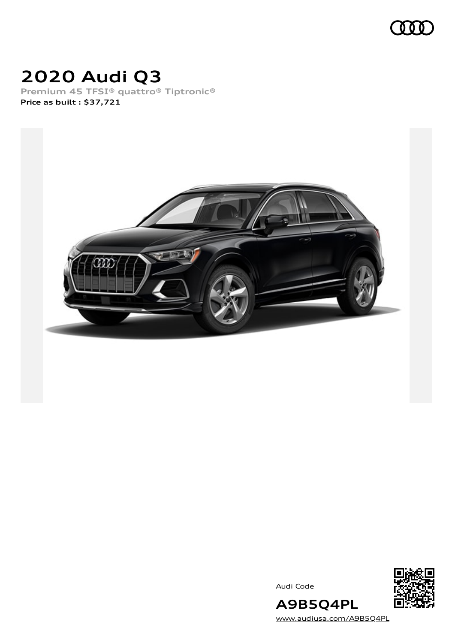

# **2020 Audi Q3**

**Premium 45 TFSI® quattro® Tiptronic® Price as built [:](#page-10-0) \$37,721**



Audi Code



**A9B5Q4PL** [www.audiusa.com/A9B5Q4PL](https://www.audiusa.com/A9B5Q4PL)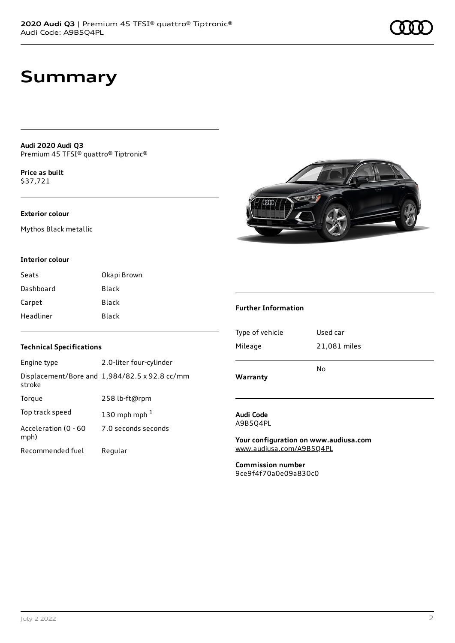## **Summary**

**Audi 2020 Audi Q3** Premium 45 TFSI® quattro® Tiptronic®

**Price as buil[t](#page-10-0)** \$37,721

### **Exterior colour**

Mythos Black metallic

### **Interior colour**

| Seats     | Okapi Brown  |
|-----------|--------------|
| Dashboard | <b>Black</b> |
| Carpet    | Black        |
| Headliner | Black        |

### **Technical Specifications**

| Engine type                  | 2.0-liter four-cylinder                       |
|------------------------------|-----------------------------------------------|
| stroke                       | Displacement/Bore and 1,984/82.5 x 92.8 cc/mm |
| Torque                       | 258 lb-ft@rpm                                 |
| Top track speed              | 130 mph mph $1$                               |
| Acceleration (0 - 60<br>mph) | 7.0 seconds seconds                           |
| Recommended fuel             | Regular                                       |



### **Further Information**

| N٥           |
|--------------|
| 21,081 miles |
| Used car     |
|              |

#### **Audi Code** A9B5Q4PL

**Your configuration on www.audiusa.com** [www.audiusa.com/A9B5Q4PL](https://www.audiusa.com/A9B5Q4PL)

**Commission number** 9ce9f4f70a0e09a830c0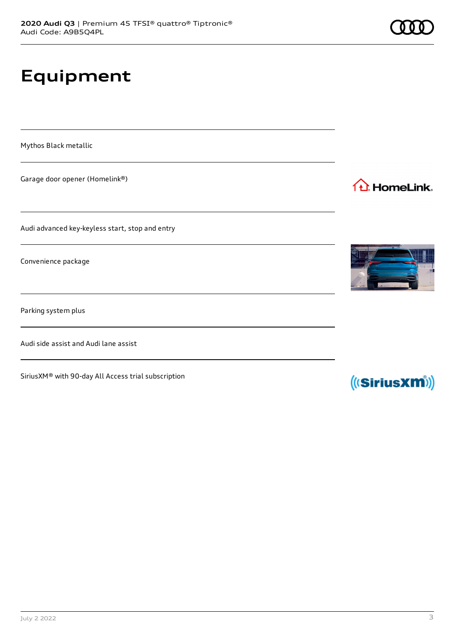# **Equipment**

Mythos Black metallic

Garage door opener (Homelink®)

Audi advanced key-keyless start, stop and entry

Convenience package

Parking system plus

Audi side assist and Audi lane assist

SiriusXM® with 90-day All Access trial subscription



1<sup>1</sup> HomeLink.



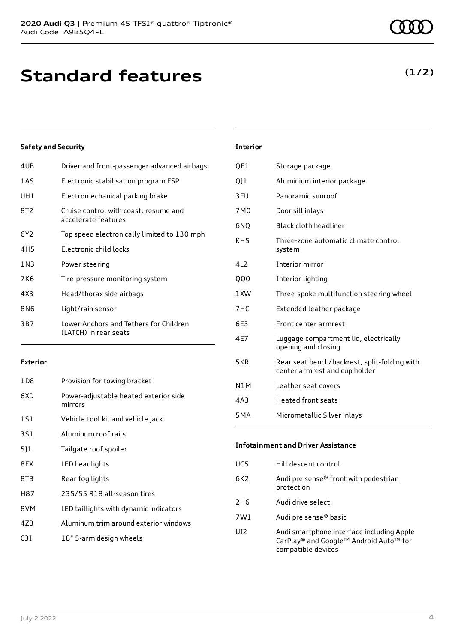# **Standard features**

### **Safety and Security**

| 4UB   | Driver and front-passenger advanced airbags                     |
|-------|-----------------------------------------------------------------|
| 1AS   | Electronic stabilisation program ESP                            |
| UH1   | Electromechanical parking brake                                 |
| 8T2   | Cruise control with coast, resume and<br>accelerate features    |
| 6Y2   | Top speed electronically limited to 130 mph                     |
| 4H5   | Electronic child locks                                          |
| 1 N 3 | Power steering                                                  |
| 7K6   | Tire-pressure monitoring system                                 |
| 4X3   | Head/thorax side airbags                                        |
| 8N6   | Light/rain sensor                                               |
| 3B7   | Lower Anchors and Tethers for Children<br>(LATCH) in rear seats |

#### **Exterior**

| 1D8 | Provision for towing bracket                     |
|-----|--------------------------------------------------|
| 6XD | Power-adjustable heated exterior side<br>mirrors |
| 1S1 | Vehicle tool kit and vehicle jack                |
| 3S1 | Aluminum roof rails                              |
| 5]1 | Tailgate roof spoiler                            |
| 8EX | LED headlights                                   |
| 8TB | Rear fog lights                                  |
| H87 | 235/55 R18 all-season tires                      |
| 8VM | LED taillights with dynamic indicators           |
| 47B | Aluminum trim around exterior windows            |
| C3I | 18" 5-arm design wheels                          |

### **Interior**

| QE1              | Storage package                                                               |
|------------------|-------------------------------------------------------------------------------|
| 011              | Aluminium interior package                                                    |
| 3FU              | Panoramic sunroof                                                             |
| 7M <sub>0</sub>  | Door sill inlays                                                              |
| 6NQ              | Black cloth headliner                                                         |
| KH <sub>5</sub>  | Three-zone automatic climate control<br>system                                |
| 4L2              | Interior mirror                                                               |
| QQ0              | Interior lighting                                                             |
| 1 XW             | Three-spoke multifunction steering wheel                                      |
| 7HC              | Extended leather package                                                      |
| 6E3              | Front center armrest                                                          |
| 4E7              | Luggage compartment lid, electrically<br>opening and closing                  |
| 5KR              | Rear seat bench/backrest, split-folding with<br>center armrest and cup holder |
| N <sub>1</sub> M | Leather seat covers                                                           |
| 4A3              | <b>Heated front seats</b>                                                     |
| 5 <sub>M</sub> A | Micrometallic Silver inlays                                                   |
|                  |                                                                               |

### **Infotainment and Driver Assistance** UG5 Hill descent control 6K2 Audi pre sense® front with pedestrian protection 2H6 Audi drive select 7W1 Audi pre sense® basic UI2 Audi smartphone interface including Apple CarPlay® and Google™ Android Auto™ for compatible devices

### **(1/2)**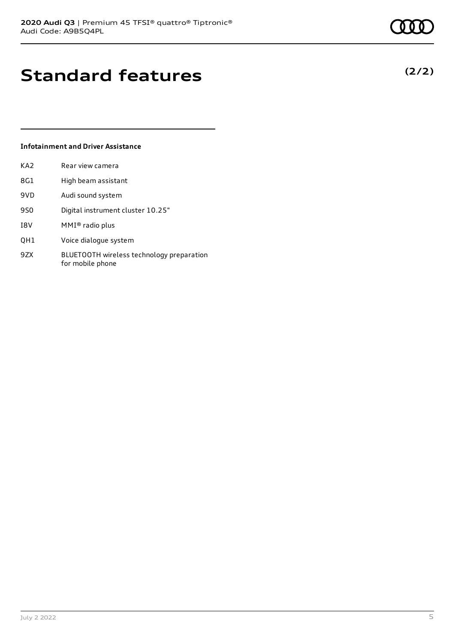**(2/2)**

# **Standard features**

### **Infotainment and Driver Assistance**

| KA2 | Rear view camera                  |
|-----|-----------------------------------|
| 8G1 | High beam assistant               |
| 9VD | Audi sound system                 |
| 9S0 | Digital instrument cluster 10.25" |
| I8V | $MMI®$ radio plus                 |
|     |                                   |

- QH1 Voice dialogue system
- 9ZX BLUETOOTH wireless technology preparation for mobile phone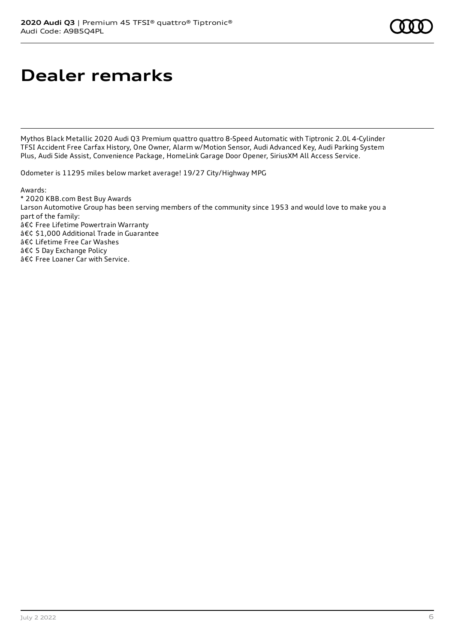# **Dealer remarks**

Mythos Black Metallic 2020 Audi Q3 Premium quattro quattro 8-Speed Automatic with Tiptronic 2.0L 4-Cylinder TFSI Accident Free Carfax History, One Owner, Alarm w/Motion Sensor, Audi Advanced Key, Audi Parking System Plus, Audi Side Assist, Convenience Package, HomeLink Garage Door Opener, SiriusXM All Access Service.

Odometer is 11295 miles below market average! 19/27 City/Highway MPG

Awards:

\* 2020 KBB.com Best Buy Awards Larson Automotive Group has been serving members of the community since 1953 and would love to make you a part of the family: • Free Lifetime Powertrain Warranty • \$1,000 Additional Trade in Guarantee • Lifetime Free Car Washes • 5 Day Exchange Policy • Free Loaner Car with Service.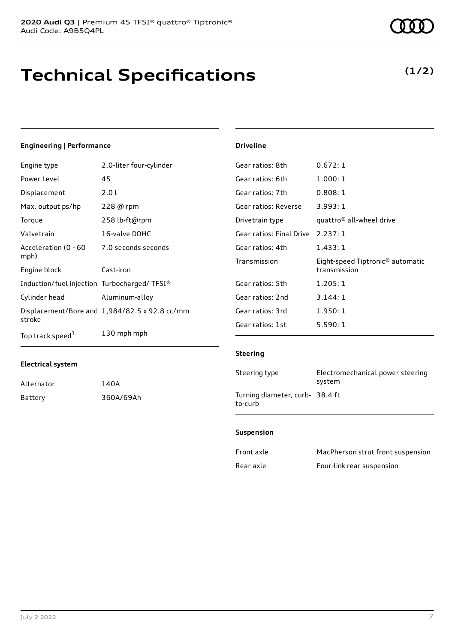# **Technical Specifications**

**(1/2)**

### **Engineering | Performance**

| Engine type                                 | 2.0-liter four-cylinder                       | Gear ratios: 8th        |
|---------------------------------------------|-----------------------------------------------|-------------------------|
| Power Level                                 | 45                                            | Gear ratios: 6th        |
| Displacement                                | 2.01                                          | Gear ratios: 7th        |
| Max. output ps/hp                           | 228 @ rpm                                     | Gear ratios: Reverse    |
| Torque                                      | 258 lb-ft@rpm                                 | Drivetrain type         |
| Valvetrain                                  | 16-valve DOHC                                 | Gear ratios: Final Driv |
| Acceleration (0 - 60<br>mph)                | 7.0 seconds seconds                           | Gear ratios: 4th        |
| Engine block                                | Cast-iron                                     | Transmission            |
| Induction/fuel injection Turbocharged/TFSI® |                                               | Gear ratios: 5th        |
| Cylinder head                               | Aluminum-alloy                                | Gear ratios: 2nd        |
|                                             | Displacement/Bore and 1,984/82.5 x 92.8 cc/mm | Gear ratios: 3rd        |
| stroke                                      |                                               | Gear ratios: 1st        |
| Top track speed <sup>1</sup>                | 130 mph mph                                   |                         |

### **Electrical system**

| Alternator | 140A      |
|------------|-----------|
| Battery    | 360A/69Ah |

### **Driveline**

| 0.672:1                                          |
|--------------------------------------------------|
| 1.000:1                                          |
| 0.808:1                                          |
| 3.993:1                                          |
| quattro <sup>®</sup> all-wheel drive             |
| Gear ratios: Final Drive 2.237: 1                |
| 1.433:1                                          |
| Eight-speed Tiptronic® automatic<br>transmission |
| 1.205:1                                          |
| 3.144:1                                          |
| 1.950:1                                          |
| 5.590:1                                          |
|                                                  |

### **Steering**

| Steering type                              | Electromechanical power steering<br>system |
|--------------------------------------------|--------------------------------------------|
| Turning diameter, curb- 38.4 ft<br>to-curb |                                            |

### **Suspension**

| Front axle | MacPherson strut front suspension |
|------------|-----------------------------------|
| Rear axle  | Four-link rear suspension         |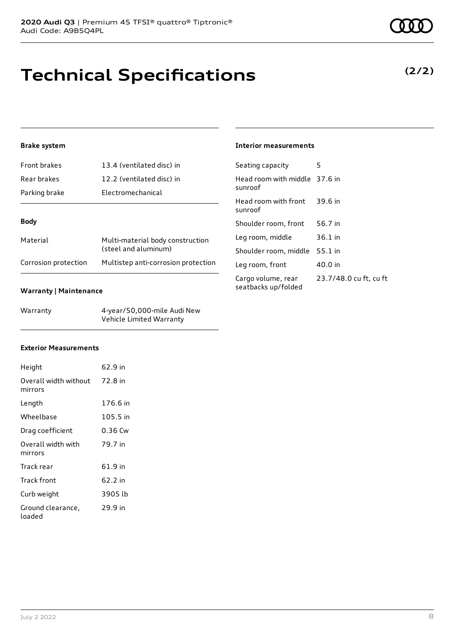# **Technical Specifications**

### **Brake system**

| Front brakes         | 13.4 (ventilated disc) in                                |
|----------------------|----------------------------------------------------------|
| Rear brakes          | 12.2 (ventilated disc) in                                |
| Parking brake        | Electromechanical                                        |
|                      |                                                          |
| <b>Body</b>          |                                                          |
| Material             | Multi-material body construction<br>(steel and aluminum) |
| Corrosion protection | Multistep anti-corrosion protection                      |

### **Warranty | Maintenance**

| Warranty | 4-year/50,000-mile Audi New |
|----------|-----------------------------|
|          | Vehicle Limited Warranty    |

### **Interior measurements**

| Seating capacity                          | 5                      |
|-------------------------------------------|------------------------|
| Head room with middle 37.6 in<br>sunroof  |                        |
| Head room with front<br>sunroof           | 39.6 in                |
| Shoulder room, front                      | 56.7 in                |
| Leg room, middle                          | $36.1$ in              |
| Shoulder room, middle                     | 55.1 in                |
| Leg room, front                           | 40.0 in                |
| Cargo volume, rear<br>seatbacks up/folded | 23.7/48.0 cu ft, cu ft |

### **Exterior Measurements**

| Height                           | 62.9 in  |
|----------------------------------|----------|
| Overall width without<br>mirrors | 72.8 in  |
| Length                           | 176.6 in |
| Wheelbase                        | 105.5 in |
| Drag coefficient                 | 0.36 Cw  |
| Overall width with<br>mirrors    | 79.7 in  |
| Track rear                       | 61.9 in  |
| Track front                      | 62.2 in  |
| Curb weight                      | 3905 lb  |
| Ground clearance,<br>loaded      | 29.9 in  |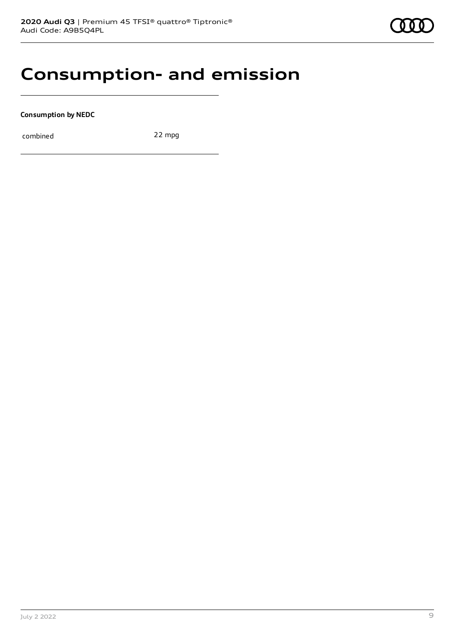## **Consumption- and emission**

**Consumption by NEDC**

combined 22 mpg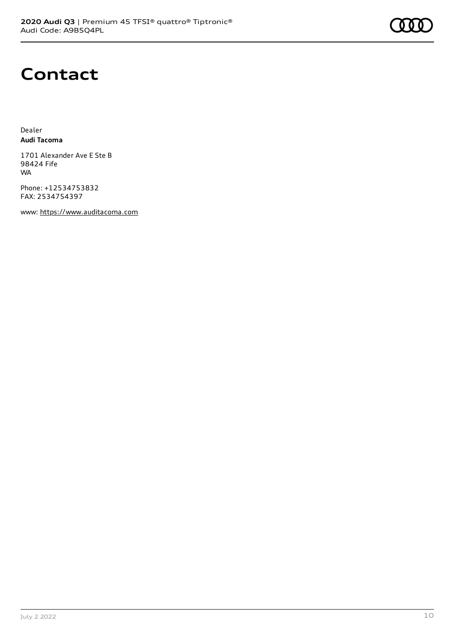

## **Contact**

Dealer **Audi Tacoma**

1701 Alexander Ave E Ste B 98424 Fife WA

Phone: +12534753832 FAX: 2534754397

www: [https://www.auditacoma.com](https://www.auditacoma.com/)